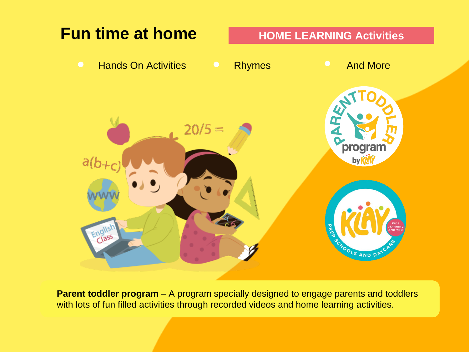

**Parent toddler program** – A program specially designed to engage parents and toddlers with lots of fun filled activities through recorded videos and home learning activities.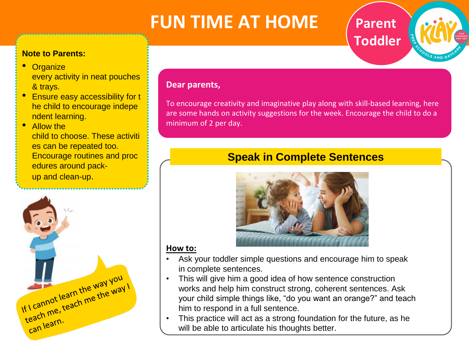## **FUN TIME AT HOME**

#### **Note to Parents:**

- **Organize** every activity in neat pouches & trays.
- Ensure easy accessibility for <sup>t</sup> he child to encourage indepe ndent learning.
- Allow the child to choose. These activiti es can be repeated too. Encourage routines and proc edures around packup and clean-up.



#### **Dear parents,**

To encourage creativity and imaginative play along with skill-based learning, here are some hands on activity suggestions for the week. Encourage the child to do a minimum of 2 per day.

**Parent** 

**Toddler**

## **Speak in Complete Sentences**



#### **How to:**

- Ask your toddler simple questions and encourage him to speak in complete sentences.
- This will give him a good idea of how sentence construction works and help him construct strong, coherent sentences. Ask your child simple things like, "do you want an orange?" and teach him to respond in a full sentence.
- This practice will act as a strong foundation for the future, as he will be able to articulate his thoughts better.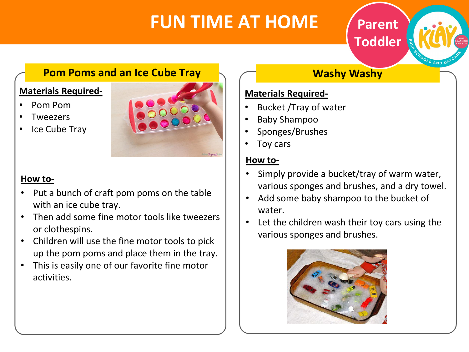## **FUN TIME AT HOME**

## **Parent Toddler**

 $\sim$   $\sim$   $\sim$ 

### **Pom Poms and an Ice Cube Tray**

#### **Materials Required-**

- Pom Pom
- **Tweezers**
- **Ice Cube Tray**



#### **How to-**

- Put a bunch of craft pom poms on the table with an ice cube tray.
- Then add some fine motor tools like tweezers or clothespins.
- Children will use the fine motor tools to pick up the pom poms and place them in the tray.
- This is easily one of our favorite fine motor activities.

## **Washy Washy**

#### **Materials Required-**

- Bucket /Tray of water
- Baby Shampoo
- Sponges/Brushes
- Toy cars

#### **How to-**

- Simply provide a bucket/tray of warm water, various sponges and brushes, and a dry towel.
- Add some baby shampoo to the bucket of water.
- Let the children wash their toy cars using the various sponges and brushes.

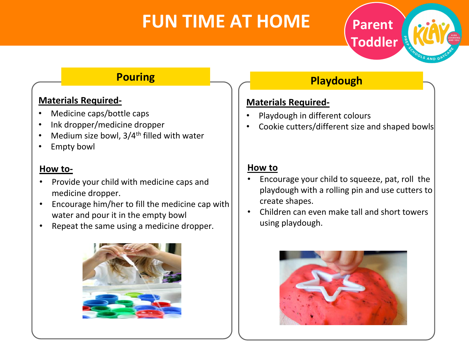## **FUN TIME AT HOME**

## **Playdough**

#### **Materials Required-**

- Playdough in different colours
- Cookie cutters/different size and shaped bowls

**Parent** 

**Toddler**

#### **How to**

- Encourage your child to squeeze, pat, roll the playdough with a rolling pin and use cutters to create shapes.
- Children can even make tall and short towers using playdough.



### **Pouring**

#### **Materials Required-**

- Medicine caps/bottle caps
- Ink dropper/medicine dropper
- Medium size bowl, 3/4<sup>th</sup> filled with water
- **Empty bowl**

#### **How to-**

- Provide your child with medicine caps and medicine dropper.
- Encourage him/her to fill the medicine cap with water and pour it in the empty bowl
- Repeat the same using a medicine dropper.

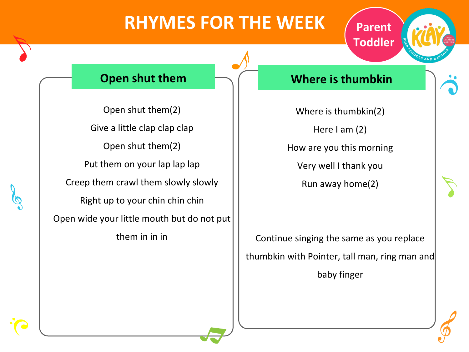## **RHYMES FOR THE WEEK**

### **Open shut them**

Open shut them(2) Give a little clap clap clap Open shut them(2) Put them on your lap lap lap Creep them crawl them slowly slowly Right up to your chin chin chin Open wide your little mouth but do not put them in in in

#### **Where is thumbkin**

**Parent**

**Toddler**

Where is thumbkin(2) Here I am (2) How are you this morning Very well I thank you Run away home(2)

Continue singing the same as you replace thumbkin with Pointer, tall man, ring man and

baby finger



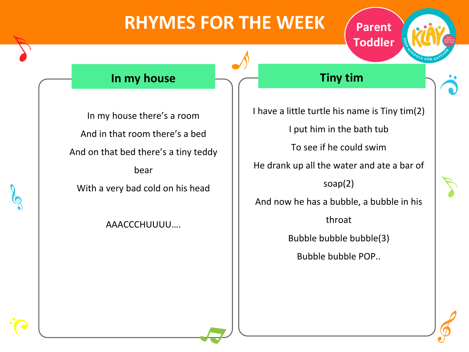## **RHYMES FOR THE WEEK**



### **In my house**

In my house there's a room And in that room there's a bed And on that bed there's a tiny teddy bear With a very bad cold on his head

AAACCCHUUUU….

### **Tiny tim**

I have a little turtle his name is Tiny tim(2) I put him in the bath tub To see if he could swim He drank up all the water and ate a bar of soap(2) And now he has a bubble, a bubble in his throat Bubble bubble bubble(3) Bubble bubble POP..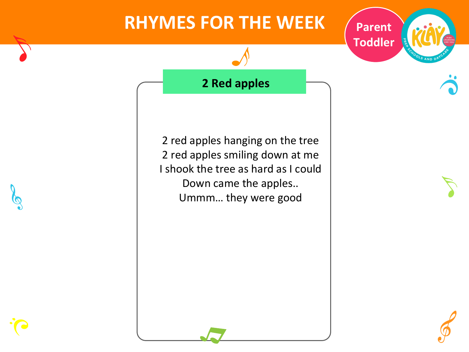## **RHYMES FOR THE WEEK**  $\sqrt{\frac{P^2}{P^2}}$



**2 Red apples**

2 red apples hanging on the tree 2 red apples smiling down at me I shook the tree as hard as I could Down came the apples.. Ummm… they were good